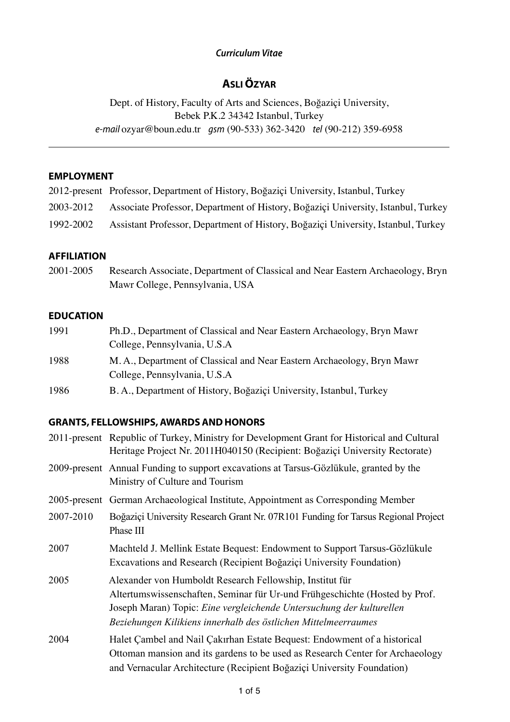## *Curriculum Vitae*

# **ASLI ÖZYAR**

Dept. of History, Faculty of Arts and Sciences, Boğaziçi University, Bebek P.K.2 34342 Istanbul, Turkey *e-mail* ozyar@boun.edu.tr *gsm* (90-533) 362-3420 *tel* (90-212) 359-6958

### **EMPLOYMENT**

|           | 2012-present Professor, Department of History, Boğaziçi University, Istanbul, Turkey |
|-----------|--------------------------------------------------------------------------------------|
| 2003-2012 | Associate Professor, Department of History, Boğaziçi University, Istanbul, Turkey    |
| 1992-2002 | Assistant Professor, Department of History, Boğaziçi University, Istanbul, Turkey    |

### **AFFILIATION**

2001-2005 Research Associate, Department of Classical and Near Eastern Archaeology, Bryn Mawr College, Pennsylvania, USA

### **EDUCATION**

- 1991 Ph.D., Department of Classical and Near Eastern Archaeology, Bryn Mawr College, Pennsylvania, U.S.A 1988 M. A., Department of Classical and Near Eastern Archaeology, Bryn Mawr College, Pennsylvania, U.S.A
- 1986 B. A., Department of History, Boğaziçi University, Istanbul, Turkey

### **GRANTS, FELLOWSHIPS,AWARDSANDHONORS**

|           | 2011-present Republic of Turkey, Ministry for Development Grant for Historical and Cultural<br>Heritage Project Nr. 2011H040150 (Recipient: Boğaziçi University Rectorate)                                                                                                        |
|-----------|-----------------------------------------------------------------------------------------------------------------------------------------------------------------------------------------------------------------------------------------------------------------------------------|
|           | 2009-present Annual Funding to support excavations at Tarsus-Gözlükule, granted by the<br>Ministry of Culture and Tourism                                                                                                                                                         |
|           | 2005-present German Archaeological Institute, Appointment as Corresponding Member                                                                                                                                                                                                 |
| 2007-2010 | Boğaziçi University Research Grant Nr. 07R101 Funding for Tarsus Regional Project<br>Phase III                                                                                                                                                                                    |
| 2007      | Machteld J. Mellink Estate Bequest: Endowment to Support Tarsus-Gözlükule<br>Excavations and Research (Recipient Boğaziçi University Foundation)                                                                                                                                  |
| 2005      | Alexander von Humboldt Research Fellowship, Institut für<br>Altertumswissenschaften, Seminar für Ur-und Frühgeschichte (Hosted by Prof.<br>Joseph Maran) Topic: Eine vergleichende Untersuchung der kulturellen<br>Beziehungen Kilikiens innerhalb des östlichen Mittelmeerraumes |
| 2004      | Halet Cambel and Nail Cakirhan Estate Bequest: Endowment of a historical<br>Ottoman mansion and its gardens to be used as Research Center for Archaeology<br>and Vernacular Architecture (Recipient Boğaziçi University Foundation)                                               |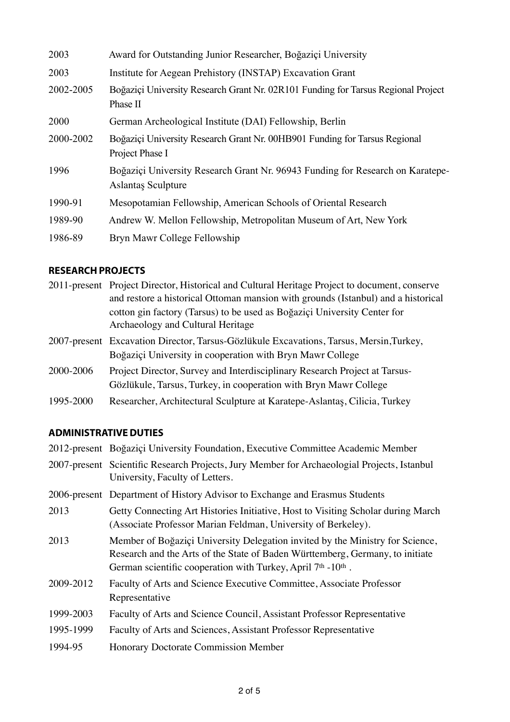| 2003      | Award for Outstanding Junior Researcher, Boğaziçi University                                                |
|-----------|-------------------------------------------------------------------------------------------------------------|
| 2003      | Institute for Aegean Prehistory (INSTAP) Excavation Grant                                                   |
| 2002-2005 | Boğaziçi University Research Grant Nr. 02R101 Funding for Tarsus Regional Project<br>Phase II               |
| 2000      | German Archeological Institute (DAI) Fellowship, Berlin                                                     |
| 2000-2002 | Boğaziçi University Research Grant Nr. 00HB901 Funding for Tarsus Regional<br>Project Phase I               |
| 1996      | Boğaziçi University Research Grant Nr. 96943 Funding for Research on Karatepe-<br><b>Aslantas Sculpture</b> |
| 1990-91   | Mesopotamian Fellowship, American Schools of Oriental Research                                              |
| 1989-90   | Andrew W. Mellon Fellowship, Metropolitan Museum of Art, New York                                           |
| 1986-89   | Bryn Mawr College Fellowship                                                                                |

## **RESEARCHPROJECTS**

|           | 2011-present Project Director, Historical and Cultural Heritage Project to document, conserve |
|-----------|-----------------------------------------------------------------------------------------------|
|           | and restore a historical Ottoman mansion with grounds (Istanbul) and a historical             |
|           | cotton gin factory (Tarsus) to be used as Boğaziçi University Center for                      |
|           | Archaeology and Cultural Heritage                                                             |
|           | 2007-present Excavation Director, Tarsus-Gözlükule Excavations, Tarsus, Mersin, Turkey,       |
|           | Boğaziçi University in cooperation with Bryn Mawr College                                     |
| 2000-2006 | Project Director, Survey and Interdisciplinary Research Project at Tarsus-                    |

- Gözlükule, Tarsus, Turkey, in cooperation with Bryn Mawr College
- 1995-2000 Researcher, Architectural Sculpture at Karatepe-Aslantaş, Cilicia, Turkey

## **ADMINISTRATIVEDUTIES**

| 2012-present Boğaziçi University Foundation, Executive Committee Academic Member                                                                                                                                                                       |
|--------------------------------------------------------------------------------------------------------------------------------------------------------------------------------------------------------------------------------------------------------|
| 2007-present Scientific Research Projects, Jury Member for Archaeologial Projects, Istanbul<br>University, Faculty of Letters.                                                                                                                         |
| 2006-present Department of History Advisor to Exchange and Erasmus Students                                                                                                                                                                            |
| Getty Connecting Art Histories Initiative, Host to Visiting Scholar during March<br>(Associate Professor Marian Feldman, University of Berkeley).                                                                                                      |
| Member of Boğaziçi University Delegation invited by the Ministry for Science,<br>Research and the Arts of the State of Baden Württemberg, Germany, to initiate<br>German scientific cooperation with Turkey, April 7 <sup>th</sup> -10 <sup>th</sup> . |
| Faculty of Arts and Science Executive Committee, Associate Professor<br>Representative                                                                                                                                                                 |
| Faculty of Arts and Science Council, Assistant Professor Representative                                                                                                                                                                                |
| Faculty of Arts and Sciences, Assistant Professor Representative                                                                                                                                                                                       |
| <b>Honorary Doctorate Commission Member</b>                                                                                                                                                                                                            |
|                                                                                                                                                                                                                                                        |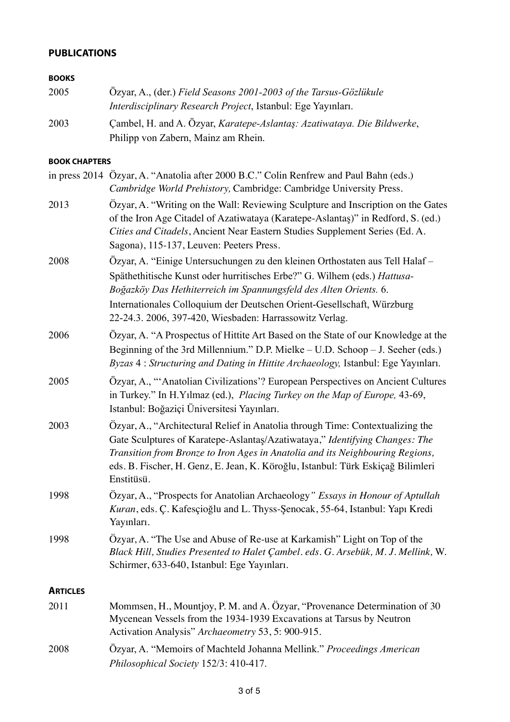## **PUBLICATIONS**

### **BOOKS**

| 2005 | Özyar, A., (der.) Field Seasons 2001-2003 of the Tarsus-Gözlükule       |
|------|-------------------------------------------------------------------------|
|      | Interdisciplinary Research Project, Istanbul: Ege Yayınları.            |
| 2003 | Cambel, H. and A. Özyar, Karatepe-Aslantaş: Azatiwataya. Die Bildwerke, |
|      | Philipp von Zabern, Mainz am Rhein.                                     |

#### **BOOK CHAPTERS**

|                 | in press 2014 Özyar, A. "Anatolia after 2000 B.C." Colin Renfrew and Paul Bahn (eds.)<br>Cambridge World Prehistory, Cambridge: Cambridge University Press.                                                                                                                                                                                                       |
|-----------------|-------------------------------------------------------------------------------------------------------------------------------------------------------------------------------------------------------------------------------------------------------------------------------------------------------------------------------------------------------------------|
| 2013            | Özyar, A. "Writing on the Wall: Reviewing Sculpture and Inscription on the Gates<br>of the Iron Age Citadel of Azatiwataya (Karatepe-Aslantaş)" in Redford, S. (ed.)<br>Cities and Citadels, Ancient Near Eastern Studies Supplement Series (Ed. A.<br>Sagona), 115-137, Leuven: Peeters Press.                                                                   |
| 2008            | Özyar, A. "Einige Untersuchungen zu den kleinen Orthostaten aus Tell Halaf-<br>Späthethitische Kunst oder hurritisches Erbe?" G. Wilhem (eds.) Hattusa-<br>Boğazköy Das Hethiterreich im Spannungsfeld des Alten Orients. 6.<br>Internationales Colloquium der Deutschen Orient-Gesellschaft, Würzburg<br>22-24.3. 2006, 397-420, Wiesbaden: Harrassowitz Verlag. |
| 2006            | Özyar, A. "A Prospectus of Hittite Art Based on the State of our Knowledge at the<br>Beginning of the 3rd Millennium." D.P. Mielke – U.D. Schoop – J. Seeher (eds.)<br>Byzas 4: Structuring and Dating in Hittite Archaeology, Istanbul: Ege Yayınları.                                                                                                           |
| 2005            | Özyar, A., "Anatolian Civilizations'? European Perspectives on Ancient Cultures<br>in Turkey." In H.Yılmaz (ed.), Placing Turkey on the Map of Europe, 43-69,<br>Istanbul: Boğaziçi Üniversitesi Yayınları.                                                                                                                                                       |
| 2003            | Özyar, A., "Architectural Relief in Anatolia through Time: Contextualizing the<br>Gate Sculptures of Karatepe-Aslantaş/Azatiwataya," Identifying Changes: The<br>Transition from Bronze to Iron Ages in Anatolia and its Neighbouring Regions,<br>eds. B. Fischer, H. Genz, E. Jean, K. Köroğlu, Istanbul: Türk Eskiçağ Bilimleri<br>Enstitüsü.                   |
| 1998            | Özyar, A., "Prospects for Anatolian Archaeology" Essays in Honour of Aptullah<br>Kuran, eds. Ç. Kafesçioğlu and L. Thyss-Şenocak, 55-64, Istanbul: Yapı Kredi<br>Yayınları.                                                                                                                                                                                       |
| 1998            | Özyar, A. "The Use and Abuse of Re-use at Karkamish" Light on Top of the<br>Black Hill, Studies Presented to Halet Çambel. eds. G. Arsebük, M. J. Mellink, W.<br>Schirmer, 633-640, Istanbul: Ege Yayınları.                                                                                                                                                      |
| <b>ARTICLES</b> |                                                                                                                                                                                                                                                                                                                                                                   |
| 2011            | Mommsen, H., Mountjoy, P. M. and A. Özyar, "Provenance Determination of 30<br>Mycenean Vessels from the 1934-1939 Excavations at Tarsus by Neutron<br>Activation Analysis" Archaeometry 53, 5: 900-915.                                                                                                                                                           |
| 2008            | Özyar, A. "Memoirs of Machteld Johanna Mellink." Proceedings American<br>Philosophical Society 152/3: 410-417.                                                                                                                                                                                                                                                    |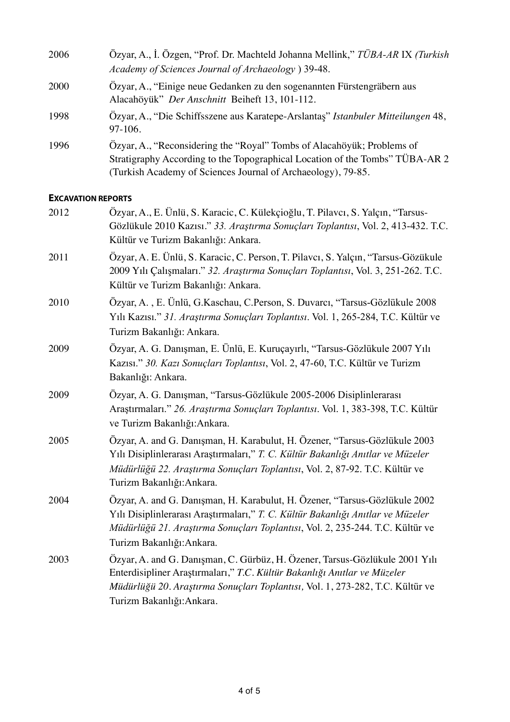| 2006 | Özyar, A., İ. Özgen, "Prof. Dr. Machteld Johanna Mellink," TÜBA-AR IX (Turkish<br>Academy of Sciences Journal of Archaeology ) 39-48.                                                                                  |
|------|------------------------------------------------------------------------------------------------------------------------------------------------------------------------------------------------------------------------|
| 2000 | Özyar, A., "Einige neue Gedanken zu den sogenannten Fürstengräbern aus<br>Alacahöyük" Der Anschnitt Beiheft 13, 101-112.                                                                                               |
| 1998 | Özyar, A., "Die Schiffsszene aus Karatepe-Arslantas" Istanbuler Mitteilungen 48,<br>$97-106.$                                                                                                                          |
| 1996 | Ozyar, A., "Reconsidering the "Royal" Tombs of Alacahöyük; Problems of<br>Stratigraphy According to the Topographical Location of the Tombs" TÜBA-AR 2<br>(Turkish Academy of Sciences Journal of Archaeology), 79-85. |

### **EXCAVATION REPORTS**

| 2012 | Özyar, A., E. Ünlü, S. Karacic, C. Külekçioğlu, T. Pilavcı, S. Yalçın, "Tarsus-<br>Gözlükule 2010 Kazısı." 33. Araştırma Sonuçları Toplantısı, Vol. 2, 413-432. T.C.<br>Kültür ve Turizm Bakanlığı: Ankara.                                                                 |
|------|-----------------------------------------------------------------------------------------------------------------------------------------------------------------------------------------------------------------------------------------------------------------------------|
| 2011 | Özyar, A. E. Ünlü, S. Karacic, C. Person, T. Pilavcı, S. Yalçın, "Tarsus-Gözükule<br>2009 Yılı Çalışmaları." 32. Araştırma Sonuçları Toplantısı, Vol. 3, 251-262. T.C.<br>Kültür ve Turizm Bakanlığı: Ankara.                                                               |
| 2010 | Özyar, A., E. Ünlü, G.Kaschau, C.Person, S. Duvarcı, "Tarsus-Gözlükule 2008<br>Yılı Kazısı." 31. Araştırma Sonuçları Toplantısı. Vol. 1, 265-284, T.C. Kültür ve<br>Turizm Bakanlığı: Ankara.                                                                               |
| 2009 | Özyar, A. G. Danışman, E. Ünlü, E. Kuruçayırlı, "Tarsus-Gözlükule 2007 Yılı<br>Kazısı." 30. Kazı Sonuçları Toplantısı, Vol. 2, 47-60, T.C. Kültür ve Turizm<br>Bakanlığı: Ankara.                                                                                           |
| 2009 | Özyar, A. G. Danışman, "Tarsus-Gözlükule 2005-2006 Disiplinlerarası<br>Araştırmaları." 26. Araştırma Sonuçları Toplantısı. Vol. 1, 383-398, T.C. Kültür<br>ve Turizm Bakanlığı: Ankara.                                                                                     |
| 2005 | Özyar, A. and G. Danışman, H. Karabulut, H. Özener, "Tarsus-Gözlükule 2003<br>Yılı Disiplinlerarası Araştırmaları," T. C. Kültür Bakanlığı Anıtlar ve Müzeler<br>Müdürlüğü 22. Araştırma Sonuçları Toplantısı, Vol. 2, 87-92. T.C. Kültür ve<br>Turizm Bakanlığı: Ankara.   |
| 2004 | Özyar, A. and G. Danışman, H. Karabulut, H. Özener, "Tarsus-Gözlükule 2002<br>Yılı Disiplinlerarası Araştırmaları," T. C. Kültür Bakanlığı Anıtlar ve Müzeler<br>Müdürlüğü 21. Araştırma Sonuçları Toplantısı, Vol. 2, 235-244. T.C. Kültür ve<br>Turizm Bakanlığı: Ankara. |
| 2003 | Özyar, A. and G. Danışman, C. Gürbüz, H. Özener, Tarsus-Gözlükule 2001 Yılı<br>Enterdisipliner Araştırmaları," T.C. Kültür Bakanlığı Anıtlar ve Müzeler<br>Müdürlüğü 20. Araştırma Sonuçları Toplantısı, Vol. 1, 273-282, T.C. Kültür ve<br>Turizm Bakanlığı: Ankara.       |